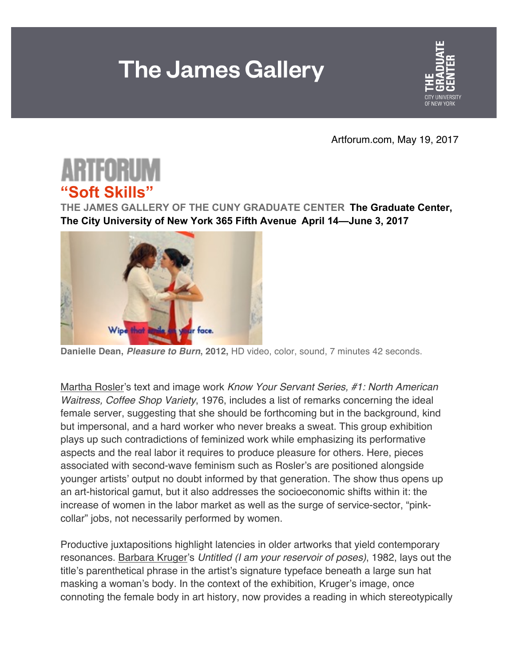## **The James Gallery**



Artforum.com, May 19, 2017



**THE JAMES GALLERY OF THE CUNY GRADUATE CENTER The Graduate Center, The City University of New York 365 Fifth Avenue April 14—June 3, 2017**



**Danielle Dean,** *Pleasure to Burn***, 2012,** HD video, color, sound, 7 minutes 42 seconds.

Martha Rosler's text and image work *Know Your Servant Series, #1: North American Waitress, Coffee Shop Variety*, 1976, includes a list of remarks concerning the ideal female server, suggesting that she should be forthcoming but in the background, kind but impersonal, and a hard worker who never breaks a sweat. This group exhibition plays up such contradictions of feminized work while emphasizing its performative aspects and the real labor it requires to produce pleasure for others. Here, pieces associated with second-wave feminism such as Rosler's are positioned alongside younger artists' output no doubt informed by that generation. The show thus opens up an art-historical gamut, but it also addresses the socioeconomic shifts within it: the increase of women in the labor market as well as the surge of service-sector, "pinkcollar" jobs, not necessarily performed by women.

Productive juxtapositions highlight latencies in older artworks that yield contemporary resonances. Barbara Kruger's *Untitled (I am your reservoir of poses)*, 1982, lays out the title's parenthetical phrase in the artist's signature typeface beneath a large sun hat masking a woman's body. In the context of the exhibition, Kruger's image, once connoting the female body in art history, now provides a reading in which stereotypically